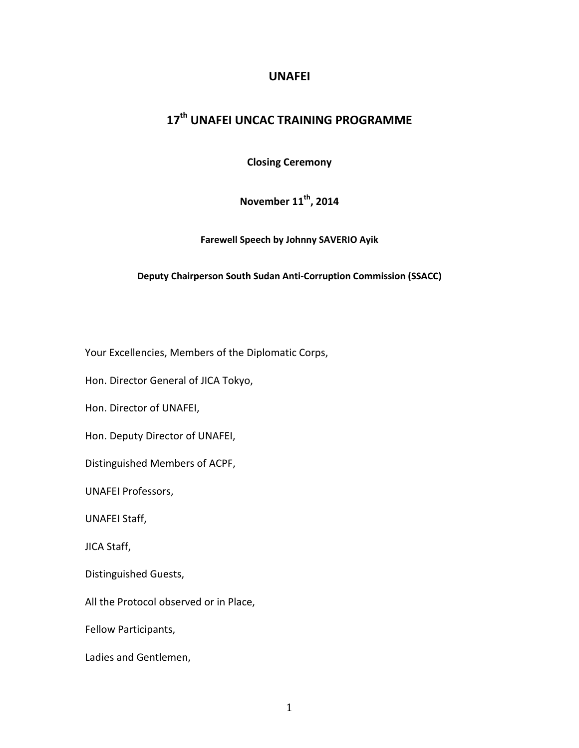## **UNAFEI**

# **17th UNAFEI UNCAC TRAINING PROGRAMME**

**Closing Ceremony**

**November 11th, 2014**

**Farewell Speech by Johnny SAVERIO Ayik**

### **Deputy Chairperson South Sudan Anti-Corruption Commission (SSACC)**

Your Excellencies, Members of the Diplomatic Corps,

Hon. Director General of JICA Tokyo,

Hon. Director of UNAFEI,

Hon. Deputy Director of UNAFEI,

Distinguished Members of ACPF,

UNAFEI Professors,

UNAFEI Staff,

JICA Staff,

Distinguished Guests,

All the Protocol observed or in Place,

Fellow Participants,

Ladies and Gentlemen,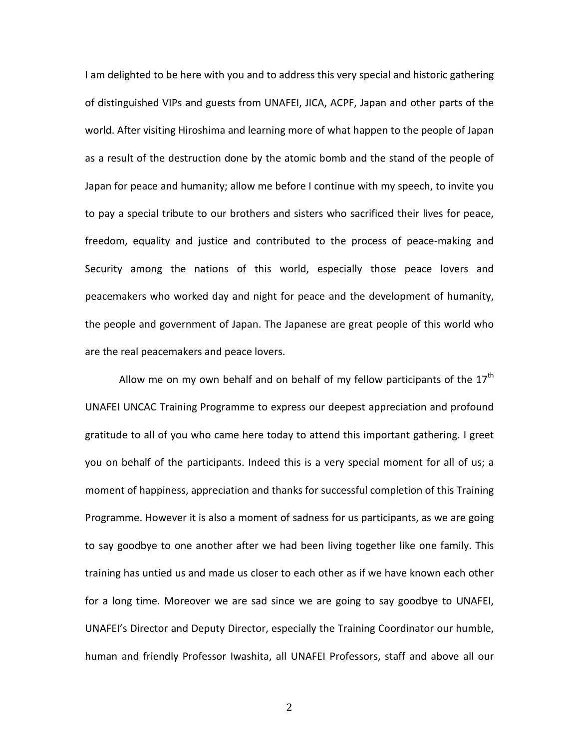I am delighted to be here with you and to address this very special and historic gathering of distinguished VIPs and guests from UNAFEI, JICA, ACPF, Japan and other parts of the world. After visiting Hiroshima and learning more of what happen to the people of Japan as a result of the destruction done by the atomic bomb and the stand of the people of Japan for peace and humanity; allow me before I continue with my speech, to invite you to pay a special tribute to our brothers and sisters who sacrificed their lives for peace, freedom, equality and justice and contributed to the process of peace-making and Security among the nations of this world, especially those peace lovers and peacemakers who worked day and night for peace and the development of humanity, the people and government of Japan. The Japanese are great people of this world who are the real peacemakers and peace lovers.

Allow me on my own behalf and on behalf of my fellow participants of the  $17<sup>th</sup>$ UNAFEI UNCAC Training Programme to express our deepest appreciation and profound gratitude to all of you who came here today to attend this important gathering. I greet you on behalf of the participants. Indeed this is a very special moment for all of us; a moment of happiness, appreciation and thanks for successful completion of this Training Programme. However it is also a moment of sadness for us participants, as we are going to say goodbye to one another after we had been living together like one family. This training has untied us and made us closer to each other as if we have known each other for a long time. Moreover we are sad since we are going to say goodbye to UNAFEI, UNAFEI's Director and Deputy Director, especially the Training Coordinator our humble, human and friendly Professor Iwashita, all UNAFEI Professors, staff and above all our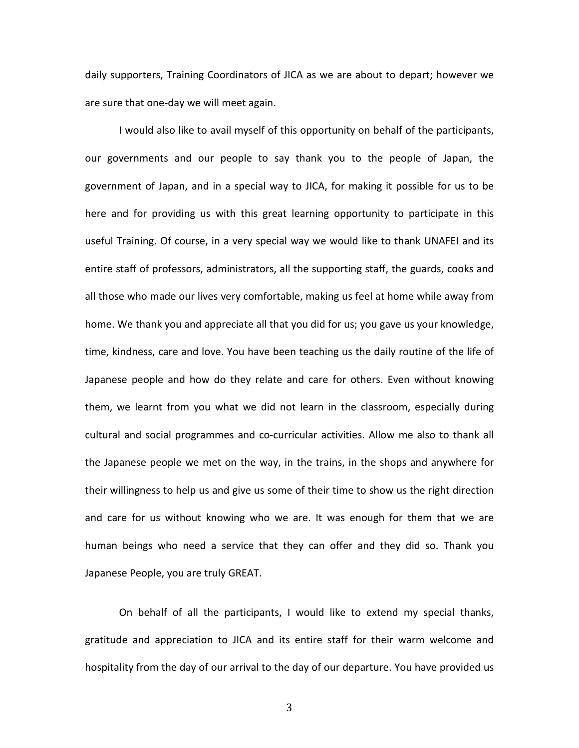daily supporters, Training Coordinators of JICA as we are about to depart; however we are sure that one-day we will meet again.

I would also like to avail myself of this opportunity on behalf of the participants, our governments and our people to say thank you to the people of Japan, the government of Japan, and in a special way to JICA, for making it possible for us to be here and for providing us with this great learning opportunity to participate in this useful Training. Of course, in a very special way we would like to thank UNAFEI and its entire staff of professors, administrators, all the supporting staff, the guards, cooks and all those who made our lives very comfortable, making us feel at home while away from home. We thank you and appreciate all that you did for us; you gave us your knowledge, time, kindness, care and love. You have been teaching us the daily routine of the life of Japanese people and how do they relate and care for others. Even without knowing them, we learnt from you what we did not learn in the classroom, especially during cultural and social programmes and co-curricular activities. Allow me also to thank all the Japanese people we met on the way, in the trains, in the shops and anywhere for their willingness to help us and give us some of their time to show us the right direction and care for us without knowing who we are. It was enough for them that we are human beings who need a service that they can offer and they did so. Thank you Japanese People, you are truly GREAT.

On behalf of all the participants, I would like to extend my special thanks, gratitude and appreciation to JICA and its entire staff for their warm welcome and hospitality from the day of our arrival to the day of our departure. You have provided us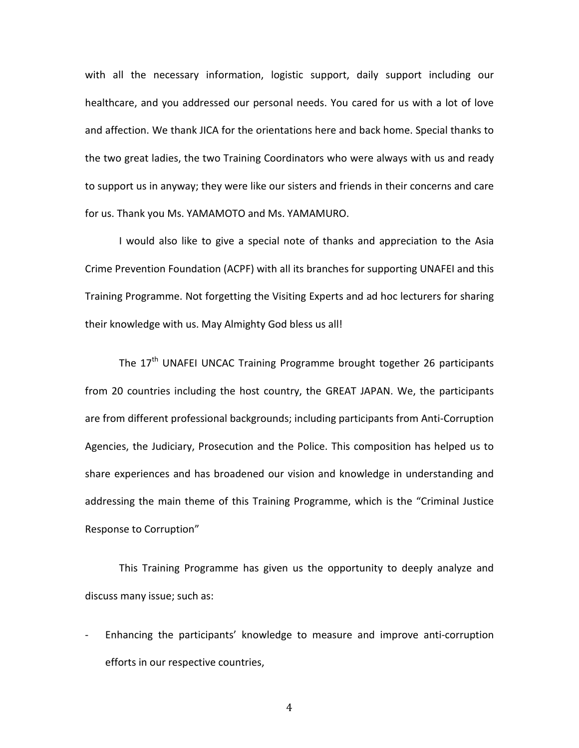with all the necessary information, logistic support, daily support including our healthcare, and you addressed our personal needs. You cared for us with a lot of love and affection. We thank JICA for the orientations here and back home. Special thanks to the two great ladies, the two Training Coordinators who were always with us and ready to support us in anyway; they were like our sisters and friends in their concerns and care for us. Thank you Ms. YAMAMOTO and Ms. YAMAMURO.

I would also like to give a special note of thanks and appreciation to the Asia Crime Prevention Foundation (ACPF) with all its branches for supporting UNAFEI and this Training Programme. Not forgetting the Visiting Experts and ad hoc lecturers for sharing their knowledge with us. May Almighty God bless us all!

The 17<sup>th</sup> UNAFEI UNCAC Training Programme brought together 26 participants from 20 countries including the host country, the GREAT JAPAN. We, the participants are from different professional backgrounds; including participants from Anti-Corruption Agencies, the Judiciary, Prosecution and the Police. This composition has helped us to share experiences and has broadened our vision and knowledge in understanding and addressing the main theme of this Training Programme, which is the "Criminal Justice Response to Corruption"

This Training Programme has given us the opportunity to deeply analyze and discuss many issue; such as:

- Enhancing the participants' knowledge to measure and improve anti-corruption efforts in our respective countries,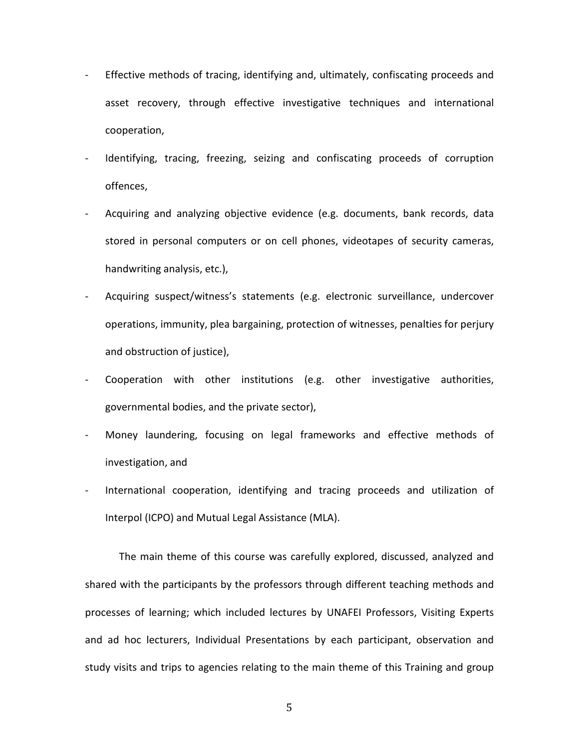- Effective methods of tracing, identifying and, ultimately, confiscating proceeds and asset recovery, through effective investigative techniques and international cooperation,
- Identifying, tracing, freezing, seizing and confiscating proceeds of corruption offences,
- Acquiring and analyzing objective evidence (e.g. documents, bank records, data stored in personal computers or on cell phones, videotapes of security cameras, handwriting analysis, etc.),
- Acquiring suspect/witness's statements (e.g. electronic surveillance, undercover operations, immunity, plea bargaining, protection of witnesses, penalties for perjury and obstruction of justice),
- Cooperation with other institutions (e.g. other investigative authorities, governmental bodies, and the private sector),
- Money laundering, focusing on legal frameworks and effective methods of investigation, and
- International cooperation, identifying and tracing proceeds and utilization of Interpol (ICPO) and Mutual Legal Assistance (MLA).

The main theme of this course was carefully explored, discussed, analyzed and shared with the participants by the professors through different teaching methods and processes of learning; which included lectures by UNAFEI Professors, Visiting Experts and ad hoc lecturers, Individual Presentations by each participant, observation and study visits and trips to agencies relating to the main theme of this Training and group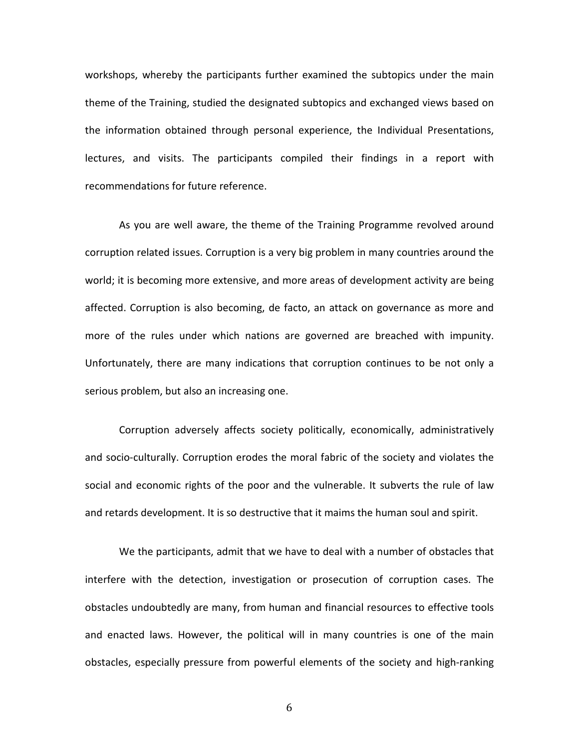workshops, whereby the participants further examined the subtopics under the main theme of the Training, studied the designated subtopics and exchanged views based on the information obtained through personal experience, the Individual Presentations, lectures, and visits. The participants compiled their findings in a report with recommendations for future reference.

As you are well aware, the theme of the Training Programme revolved around corruption related issues. Corruption is a very big problem in many countries around the world; it is becoming more extensive, and more areas of development activity are being affected. Corruption is also becoming, de facto, an attack on governance as more and more of the rules under which nations are governed are breached with impunity. Unfortunately, there are many indications that corruption continues to be not only a serious problem, but also an increasing one.

Corruption adversely affects society politically, economically, administratively and socio-culturally. Corruption erodes the moral fabric of the society and violates the social and economic rights of the poor and the vulnerable. It subverts the rule of law and retards development. It is so destructive that it maims the human soul and spirit.

We the participants, admit that we have to deal with a number of obstacles that interfere with the detection, investigation or prosecution of corruption cases. The obstacles undoubtedly are many, from human and financial resources to effective tools and enacted laws. However, the political will in many countries is one of the main obstacles, especially pressure from powerful elements of the society and high-ranking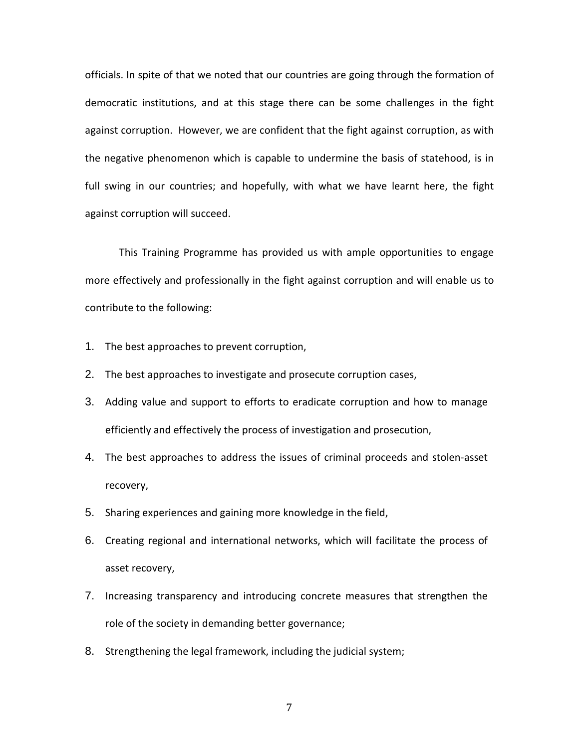officials. In spite of that we noted that our countries are going through the formation of democratic institutions, and at this stage there can be some challenges in the fight against corruption. However, we are confident that the fight against corruption, as with the negative phenomenon which is capable to undermine the basis of statehood, is in full swing in our countries; and hopefully, with what we have learnt here, the fight against corruption will succeed.

This Training Programme has provided us with ample opportunities to engage more effectively and professionally in the fight against corruption and will enable us to contribute to the following:

- 1. The best approaches to prevent corruption,
- 2. The best approaches to investigate and prosecute corruption cases,
- 3. Adding value and support to efforts to eradicate corruption and how to manage efficiently and effectively the process of investigation and prosecution,
- 4. The best approaches to address the issues of criminal proceeds and stolen-asset recovery,
- 5. Sharing experiences and gaining more knowledge in the field,
- 6. Creating regional and international networks, which will facilitate the process of asset recovery,
- 7. Increasing transparency and introducing concrete measures that strengthen the role of the society in demanding better governance;
- 8. Strengthening the legal framework, including the judicial system;
	- 7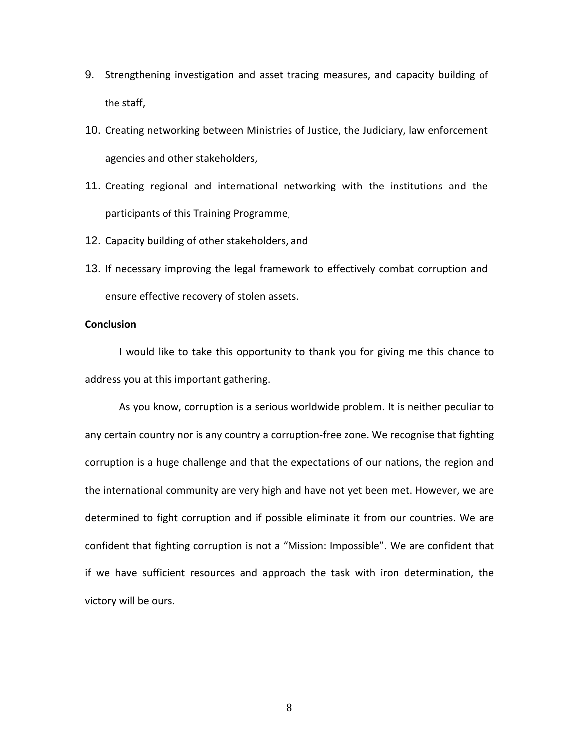- 9. Strengthening investigation and asset tracing measures, and capacity building of the staff,
- 10. Creating networking between Ministries of Justice, the Judiciary, law enforcement agencies and other stakeholders,
- 11. Creating regional and international networking with the institutions and the participants of this Training Programme,
- 12. Capacity building of other stakeholders, and
- 13. If necessary improving the legal framework to effectively combat corruption and ensure effective recovery of stolen assets.

#### **Conclusion**

I would like to take this opportunity to thank you for giving me this chance to address you at this important gathering.

As you know, corruption is a serious worldwide problem. It is neither peculiar to any certain country nor is any country a corruption-free zone. We recognise that fighting corruption is a huge challenge and that the expectations of our nations, the region and the international community are very high and have not yet been met. However, we are determined to fight corruption and if possible eliminate it from our countries. We are confident that fighting corruption is not a "Mission: Impossible". We are confident that if we have sufficient resources and approach the task with iron determination, the victory will be ours.